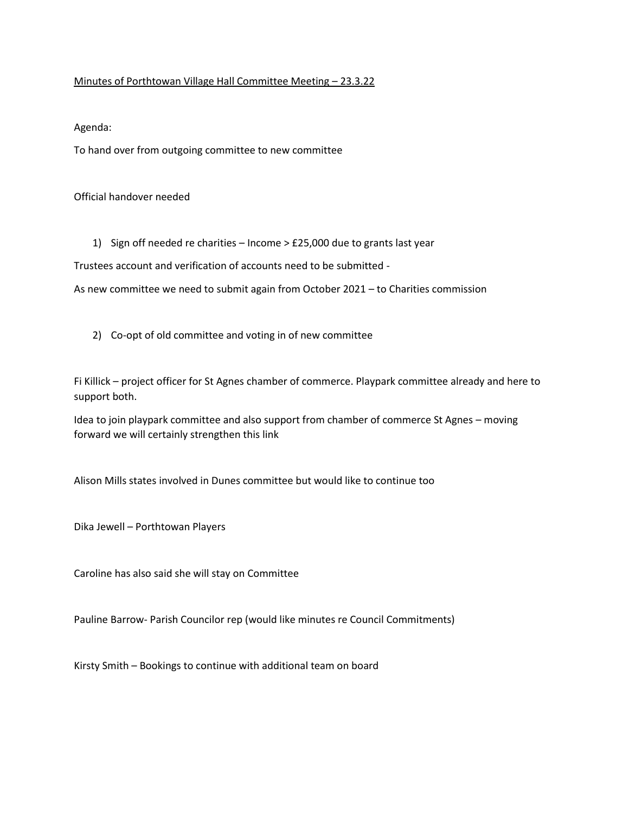## Minutes of Porthtowan Village Hall Committee Meeting – 23.3.22

Agenda:

To hand over from outgoing committee to new committee

Official handover needed

1) Sign off needed re charities – Income > £25,000 due to grants last year

Trustees account and verification of accounts need to be submitted -

As new committee we need to submit again from October 2021 – to Charities commission

2) Co-opt of old committee and voting in of new committee

Fi Killick – project officer for St Agnes chamber of commerce. Playpark committee already and here to support both.

Idea to join playpark committee and also support from chamber of commerce St Agnes – moving forward we will certainly strengthen this link

Alison Mills states involved in Dunes committee but would like to continue too

Dika Jewell – Porthtowan Players

Caroline has also said she will stay on Committee

Pauline Barrow- Parish Councilor rep (would like minutes re Council Commitments)

Kirsty Smith – Bookings to continue with additional team on board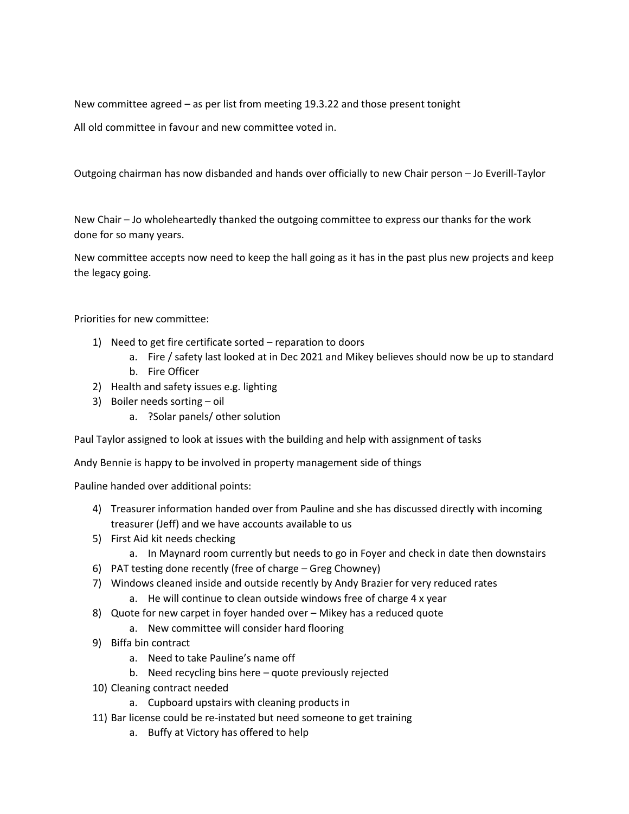New committee agreed – as per list from meeting 19.3.22 and those present tonight

All old committee in favour and new committee voted in.

Outgoing chairman has now disbanded and hands over officially to new Chair person – Jo Everill-Taylor

New Chair – Jo wholeheartedly thanked the outgoing committee to express our thanks for the work done for so many years.

New committee accepts now need to keep the hall going as it has in the past plus new projects and keep the legacy going.

Priorities for new committee:

- 1) Need to get fire certificate sorted reparation to doors
	- a. Fire / safety last looked at in Dec 2021 and Mikey believes should now be up to standard
	- b. Fire Officer
- 2) Health and safety issues e.g. lighting
- 3) Boiler needs sorting oil
	- a. ?Solar panels/ other solution

Paul Taylor assigned to look at issues with the building and help with assignment of tasks

Andy Bennie is happy to be involved in property management side of things

Pauline handed over additional points:

- 4) Treasurer information handed over from Pauline and she has discussed directly with incoming treasurer (Jeff) and we have accounts available to us
- 5) First Aid kit needs checking
	- a. In Maynard room currently but needs to go in Foyer and check in date then downstairs
- 6) PAT testing done recently (free of charge Greg Chowney)
- 7) Windows cleaned inside and outside recently by Andy Brazier for very reduced rates
	- a. He will continue to clean outside windows free of charge 4 x year
- 8) Quote for new carpet in foyer handed over Mikey has a reduced quote
	- a. New committee will consider hard flooring
- 9) Biffa bin contract
	- a. Need to take Pauline's name off
	- b. Need recycling bins here quote previously rejected
- 10) Cleaning contract needed
	- a. Cupboard upstairs with cleaning products in
- 11) Bar license could be re-instated but need someone to get training
	- a. Buffy at Victory has offered to help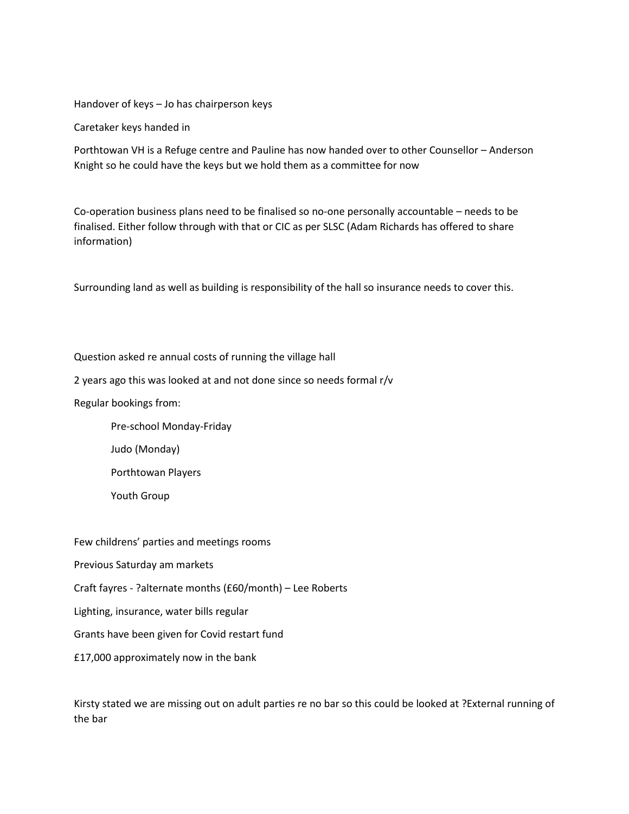Handover of keys – Jo has chairperson keys

Caretaker keys handed in

Porthtowan VH is a Refuge centre and Pauline has now handed over to other Counsellor – Anderson Knight so he could have the keys but we hold them as a committee for now

Co-operation business plans need to be finalised so no-one personally accountable – needs to be finalised. Either follow through with that or CIC as per SLSC (Adam Richards has offered to share information)

Surrounding land as well as building is responsibility of the hall so insurance needs to cover this.

Question asked re annual costs of running the village hall

2 years ago this was looked at and not done since so needs formal r/v

Regular bookings from:

Pre-school Monday-Friday

Judo (Monday)

Porthtowan Players

Youth Group

Few childrens' parties and meetings rooms

Previous Saturday am markets

Craft fayres - ?alternate months (£60/month) – Lee Roberts

Lighting, insurance, water bills regular

Grants have been given for Covid restart fund

£17,000 approximately now in the bank

Kirsty stated we are missing out on adult parties re no bar so this could be looked at ?External running of the bar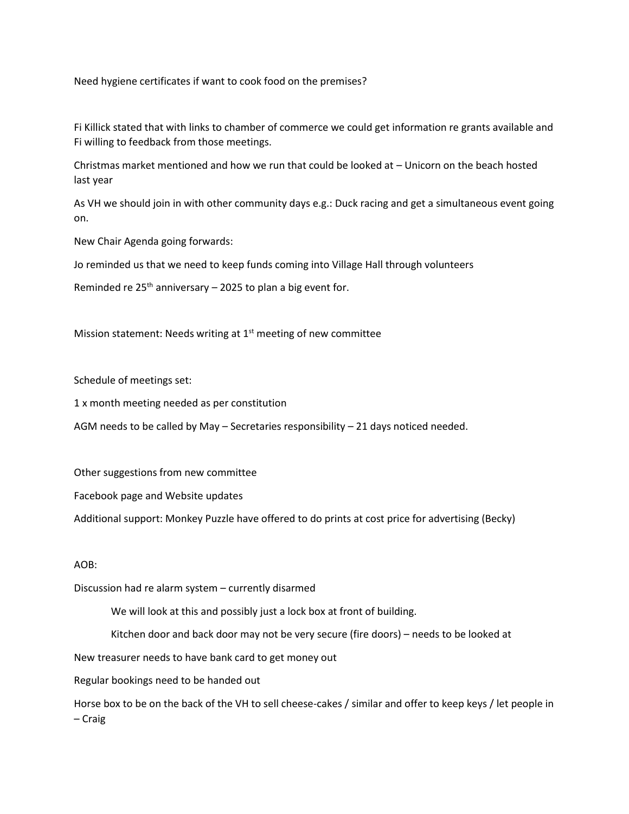Need hygiene certificates if want to cook food on the premises?

Fi Killick stated that with links to chamber of commerce we could get information re grants available and Fi willing to feedback from those meetings.

Christmas market mentioned and how we run that could be looked at – Unicorn on the beach hosted last year

As VH we should join in with other community days e.g.: Duck racing and get a simultaneous event going on.

New Chair Agenda going forwards:

Jo reminded us that we need to keep funds coming into Village Hall through volunteers

Reminded re  $25<sup>th</sup>$  anniversary – 2025 to plan a big event for.

Mission statement: Needs writing at  $1<sup>st</sup>$  meeting of new committee

Schedule of meetings set:

1 x month meeting needed as per constitution

AGM needs to be called by May – Secretaries responsibility – 21 days noticed needed.

Other suggestions from new committee

Facebook page and Website updates

Additional support: Monkey Puzzle have offered to do prints at cost price for advertising (Becky)

## AOB:

Discussion had re alarm system – currently disarmed

We will look at this and possibly just a lock box at front of building.

Kitchen door and back door may not be very secure (fire doors) – needs to be looked at

New treasurer needs to have bank card to get money out

Regular bookings need to be handed out

Horse box to be on the back of the VH to sell cheese-cakes / similar and offer to keep keys / let people in – Craig